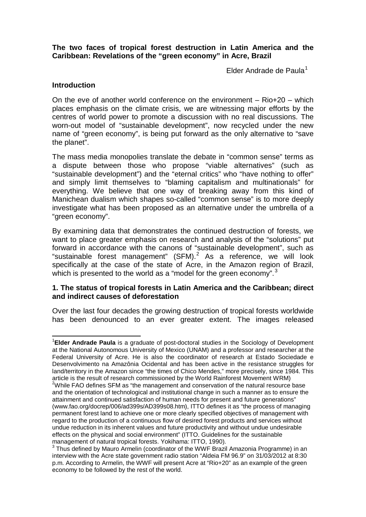**The two faces of tropical forest destruction in Latin America and the Caribbean: Revelations of the "green economy" in Acre, Brazil**

Elder Andrade de Paula $1$ 

## **Introduction**

On the eve of another world conference on the environment – Rio+20 – which places emphasis on the climate crisis, we are witnessing major efforts by the centres of world power to promote a discussion with no real discussions. The worn-out model of "sustainable development", now recycled under the new name of "green economy", is being put forward as the only alternative to "save the planet".

The mass media monopolies translate the debate in "common sense" terms as a dispute between those who propose "viable alternatives" (such as "sustainable development") and the "eternal critics" who "have nothing to offer" and simply limit themselves to "blaming capitalism and multinationals" for everything. We believe that one way of breaking away from this kind of Manichean dualism which shapes so-called "common sense" is to more deeply investigate what has been proposed as an alternative under the umbrella of a "green economy".

By examining data that demonstrates the continued destruction of forests, we want to place greater emphasis on research and analysis of the "solutions" put forward in accordance with the canons of "sustainable development", such as "sustainable forest management" (SFM). $^2$  $^2$  As a reference, we will look specifically at the case of the state of Acre, in the Amazon region of Brazil, which is presented to the world as a "model for the green economy".<sup>[3](#page-0-2)</sup>

### **1. The status of tropical forests in Latin America and the Caribbean; direct and indirect causes of deforestation**

Over the last four decades the growing destruction of tropical forests worldwide has been denounced to an ever greater extent. The images released

<span id="page-0-1"></span><span id="page-0-0"></span>1 **Elder Andrade Paula** is a graduate of post-doctoral studies in the Sociology of Development at the National Autonomous University of Mexico (UNAM) and a professor and researcher at the Federal University of Acre. He is also the coordinator of research at Estado Sociedade e Desenvolvimento na Amazônia Ocidental and has been active in the resistance struggles for land/territory in the Amazon since "the times of Chico Mendes," more precisely, since 1984. This article is the result of research commissioned by the World Rainforest Movement WRM) <sup>2</sup>  $2$ While FAO defines SFM as "the management and conservation of the natural resource base and the orientation of technological and institutional change in such a manner as to ensure the attainment and continued satisfaction of human needs for present and future generations" (www.fao.org/docrep/006/ad399s/AD399s08.htm), ITTO defines it as "the process of managing permanent forest land to achieve one or more clearly specified objectives of management with regard to the production of a continuous flow of desired forest products and services without undue reduction in its inherent values and future productivity and without undue undesirable effects on the physical and social environment" (ITTO. Guidelines for the sustainable management of natural tropical forests. Yokihama: ITTO, 1990).

<span id="page-0-2"></span> $3$  Thus defined by Mauro Armelin (coordinator of the WWF Brazil Amazonia Programme) in an interview with the Acre state government radio station "Aldeia FM 96.9" on 31/03/2012 at 8:30 p.m. According to Armelin, the WWF will present Acre at "Rio+20" as an example of the green economy to be followed by the rest of the world.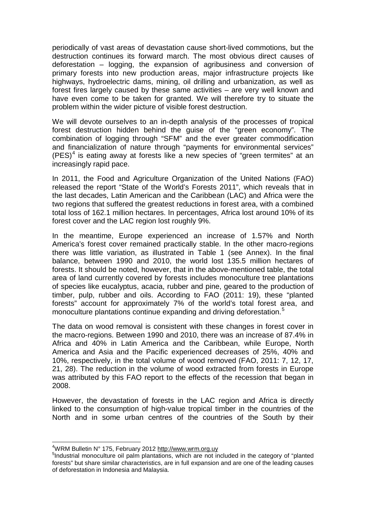periodically of vast areas of devastation cause short-lived commotions, but the destruction continues its forward march. The most obvious direct causes of deforestation – logging, the expansion of agribusiness and conversion of primary forests into new production areas, major infrastructure projects like highways, hydroelectric dams, mining, oil drilling and urbanization, as well as forest fires largely caused by these same activities – are very well known and have even come to be taken for granted. We will therefore try to situate the problem within the wider picture of visible forest destruction.

We will devote ourselves to an in-depth analysis of the processes of tropical forest destruction hidden behind the guise of the "green economy". The combination of logging through "SFM" and the ever greater commodification and financialization of nature through "payments for environmental services"  $(PES)<sup>4</sup>$  $(PES)<sup>4</sup>$  $(PES)<sup>4</sup>$  is eating away at forests like a new species of "green termites" at an increasingly rapid pace.

In 2011, the Food and Agriculture Organization of the United Nations (FAO) released the report "State of the World's Forests 2011", which reveals that in the last decades, Latin American and the Caribbean (LAC) and Africa were the two regions that suffered the greatest reductions in forest area, with a combined total loss of 162.1 million hectares. In percentages, Africa lost around 10% of its forest cover and the LAC region lost roughly 9%.

In the meantime, Europe experienced an increase of 1.57% and North America's forest cover remained practically stable. In the other macro-regions there was little variation, as illustrated in Table 1 (see Annex). In the final balance, between 1990 and 2010, the world lost 135.5 million hectares of forests. It should be noted, however, that in the above-mentioned table, the total area of land currently covered by forests includes monoculture tree plantations of species like eucalyptus, acacia, rubber and pine, geared to the production of timber, pulp, rubber and oils. According to FAO (2011: 19), these "planted forests" account for approximately 7% of the world's total forest area, and monoculture plantations continue expanding and driving deforestation.<sup>[5](#page-1-0)</sup>

The data on wood removal is consistent with these changes in forest cover in the macro-regions. Between 1990 and 2010, there was an increase of 87.4% in Africa and 40% in Latin America and the Caribbean, while Europe, North America and Asia and the Pacific experienced decreases of 25%, 40% and 10%, respectively, in the total volume of wood removed (FAO, 2011: 7, 12, 17, 21, 28). The reduction in the volume of wood extracted from forests in Europe was attributed by this FAO report to the effects of the recession that began in 2008.

<span id="page-1-1"></span>However, the devastation of forests in the LAC region and Africa is directly linked to the consumption of high-value tropical timber in the countries of the North and in some urban centres of the countries of the South by their

 $\frac{1}{4}$ WRM Bulletin N° 175, February 2012 [http://www.wrm.org.uy](http://www.wrm.org.uy/) <sup>5</sup>

<span id="page-1-0"></span><sup>&</sup>lt;sup>5</sup>Industrial monoculture oil palm plantations, which are not included in the category of "planted" forests" but share similar characteristics, are in full expansion and are one of the leading causes of deforestation in Indonesia and Malaysia.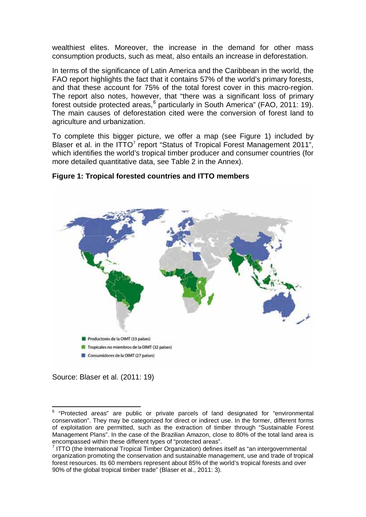wealthiest elites. Moreover, the increase in the demand for other mass consumption products, such as meat, also entails an increase in deforestation.

In terms of the significance of Latin America and the Caribbean in the world, the FAO report highlights the fact that it contains 57% of the world's primary forests, and that these account for 75% of the total forest cover in this macro-region. The report also notes, however, that "there was a significant loss of primary forest outside protected areas,<sup>[6](#page-1-1)</sup> particularly in South America" (FAO, 2011: 19). The main causes of deforestation cited were the conversion of forest land to agriculture and urbanization.

To complete this bigger picture, we offer a map (see Figure 1) included by Blaser et al. in the  $ITTO<sup>7</sup>$  $ITTO<sup>7</sup>$  $ITTO<sup>7</sup>$  report "Status of Tropical Forest Management 2011", which identifies the world's tropical timber producer and consumer countries (for more detailed quantitative data, see Table 2 in the Annex).



## **Figure 1: Tropical forested countries and ITTO members**

Source: Blaser et al. (2011: 19)

<sup>&</sup>lt;sup>6</sup> "Protected areas" are public or private parcels of land designated for "environmental conservation". They may be categorized for direct or indirect use. In the former, different forms of exploitation are permitted, such as the extraction of timber through "Sustainable Forest Management Plans". In the case of the Brazilian Amazon, close to 80% of the total land area is encompassed within these different types of "protected areas".

<span id="page-2-1"></span><span id="page-2-0"></span> $7$  ITTO (the International Tropical Timber Organization) defines itself as "an intergovernmental organization promoting the conservation and sustainable management, use and trade of tropical forest resources. Its 60 members represent about 85% of the world's tropical forests and over 90% of the global tropical timber trade" (Blaser et al., 2011: 3).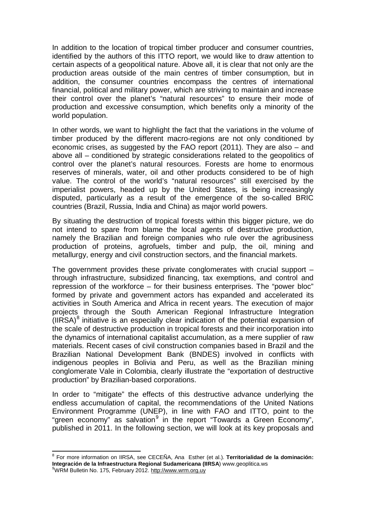In addition to the location of tropical timber producer and consumer countries, identified by the authors of this ITTO report, we would like to draw attention to certain aspects of a geopolitical nature. Above all, it is clear that not only are the production areas outside of the main centres of timber consumption, but in addition, the consumer countries encompass the centres of international financial, political and military power, which are striving to maintain and increase their control over the planet's "natural resources" to ensure their mode of production and excessive consumption, which benefits only a minority of the world population.

In other words, we want to highlight the fact that the variations in the volume of timber produced by the different macro-regions are not only conditioned by economic crises, as suggested by the FAO report (2011). They are also – and above all – conditioned by strategic considerations related to the geopolitics of control over the planet's natural resources. Forests are home to enormous reserves of minerals, water, oil and other products considered to be of high value. The control of the world's "natural resources" still exercised by the imperialist powers, headed up by the United States, is being increasingly disputed, particularly as a result of the emergence of the so-called BRIC countries (Brazil, Russia, India and China) as major world powers.

By situating the destruction of tropical forests within this bigger picture, we do not intend to spare from blame the local agents of destructive production, namely the Brazilian and foreign companies who rule over the agribusiness production of proteins, agrofuels, timber and pulp, the oil, mining and metallurgy, energy and civil construction sectors, and the financial markets.

The government provides these private conglomerates with crucial support – through infrastructure, subsidized financing, tax exemptions, and control and repression of the workforce – for their business enterprises. The "power bloc" formed by private and government actors has expanded and accelerated its activities in South America and Africa in recent years. The execution of major projects through the South American Regional Infrastructure Integration  $(IIRSA)^8$  $(IIRSA)^8$  initiative is an especially clear indication of the potential expansion of the scale of destructive production in tropical forests and their incorporation into the dynamics of international capitalist accumulation, as a mere supplier of raw materials. Recent cases of civil construction companies based in Brazil and the Brazilian National Development Bank (BNDES) involved in conflicts with indigenous peoples in Bolivia and Peru, as well as the Brazilian mining conglomerate Vale in Colombia, clearly illustrate the "exportation of destructive production" by Brazilian-based corporations.

<span id="page-3-1"></span>In order to "mitigate" the effects of this destructive advance underlying the endless accumulation of capital, the recommendations of the United Nations Environment Programme (UNEP), in line with FAO and ITTO, point to the "green economy" as salvation<sup>[9](#page-3-0)</sup> in the report "Towards a Green Economy", published in 2011. In the following section, we will look at its key proposals and

<span id="page-3-0"></span><sup>8</sup> For more information on IIRSA, see CECEÑA, Ana Esther (et al.). **Territorialidad de la dominación: Integración de la Infraestructura Regional Sudamericana (IIRSA**) www.geoplitica.ws <sup>9</sup> WRM Bulletin No. 175, February 2012. [http://www.wrm.org.uy](http://www.wrm.org.uy/)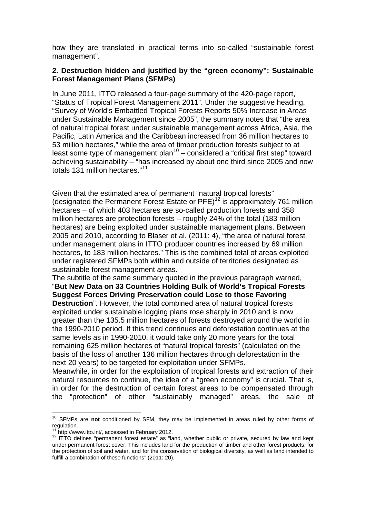how they are translated in practical terms into so-called "sustainable forest management".

## **2. Destruction hidden and justified by the "green economy": Sustainable Forest Management Plans (SFMPs)**

In June 2011, ITTO released a four-page summary of the 420-page report, "Status of Tropical Forest Management 2011". Under the suggestive heading, "Survey of World's Embattled Tropical Forests Reports 50% Increase in Areas under Sustainable Management since 2005", the summary notes that "the area of natural tropical forest under sustainable management across Africa, Asia, the Pacific, Latin America and the Caribbean increased from 36 million hectares to 53 million hectares," while the area of timber production forests subject to at least some type of management plan<sup>[10](#page-3-1)</sup> – considered a "critical first step" toward achieving sustainability – "has increased by about one third since 2005 and now totals 131 million hectares."<sup>[11](#page-4-0)</sup>

Given that the estimated area of permanent "natural tropical forests" (designated the Permanent Forest Estate or PFE)<sup>[12](#page-4-1)</sup> is approximately 761 million hectares – of which 403 hectares are so-called production forests and 358 million hectares are protection forests – roughly 24% of the total (183 million hectares) are being exploited under sustainable management plans. Between 2005 and 2010, according to Blaser et al. (2011: 4), "the area of natural forest under management plans in ITTO producer countries increased by 69 million hectares, to 183 million hectares." This is the combined total of areas exploited under registered SFMPs both within and outside of territories designated as sustainable forest management areas.

The subtitle of the same summary quoted in the previous paragraph warned, "**But New Data on 33 Countries Holding Bulk of World's Tropical Forests Suggest Forces Driving Preservation could Lose to those Favoring Destruction**". However, the total combined area of natural tropical forests exploited under sustainable logging plans rose sharply in 2010 and is now greater than the 135.5 million hectares of forests destroyed around the world in the 1990-2010 period. If this trend continues and deforestation continues at the same levels as in 1990-2010, it would take only 20 more years for the total remaining 625 million hectares of "natural tropical forests" (calculated on the basis of the loss of another 136 million hectares through deforestation in the next 20 years) to be targeted for exploitation under SFMPs.

Meanwhile, in order for the exploitation of tropical forests and extraction of their natural resources to continue, the idea of a "green economy" is crucial. That is, in order for the destruction of certain forest areas to be compensated through the "protection" of other "sustainably managed" areas, the sale of

<sup>10</sup> SFMPs are **not** conditioned by SFM, they may be implemented in areas ruled by other forms of regulation.<br><sup>11</sup> http://www.itto.int/, accessed in February 2012.

<span id="page-4-2"></span><span id="page-4-1"></span><span id="page-4-0"></span> $12$  ITTO defines "permanent forest estate" as "land, whether public or private, secured by law and kept under permanent forest cover. This includes land for the production of timber and other forest products, for the protection of soil and water, and for the conservation of biological diversity, as well as land intended to fulfill a combination of these functions" (2011: 20).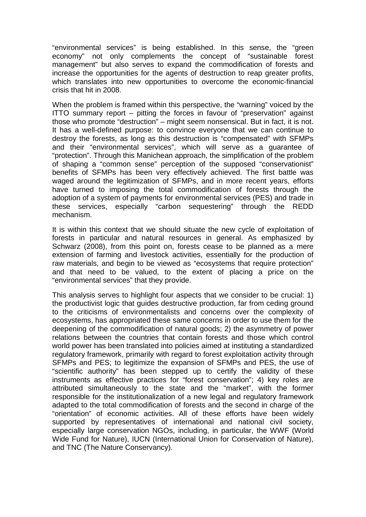"environmental services" is being established. In this sense, the "green economy" not only complements the concept of "sustainable forest management" but also serves to expand the commodification of forests and increase the opportunities for the agents of destruction to reap greater profits, which translates into new opportunities to overcome the economic-financial crisis that hit in 2008.

When the problem is framed within this perspective, the "warning" voiced by the ITTO summary report – pitting the forces in favour of "preservation" against those who promote "destruction" – might seem nonsensical. But in fact, it is not. It has a well-defined purpose: to convince everyone that we can continue to destroy the forests, as long as this destruction is "compensated" with SFMPs and their "environmental services", which will serve as a guarantee of "protection". Through this Manichean approach, the simplification of the problem of shaping a "common sense" perception of the supposed "conservationist" benefits of SFMPs has been very effectively achieved. The first battle was waged around the legitimization of SFMPs, and in more recent years, efforts have turned to imposing the total commodification of forests through the adoption of a system of payments for environmental services (PES) and trade in these services, especially "carbon sequestering" through the REDD mechanism.

It is within this context that we should situate the new cycle of exploitation of forests in particular and natural resources in general. As emphasized by Schwarz (2008), from this point on, forests cease to be planned as a mere extension of farming and livestock activities, essentially for the production of raw materials, and begin to be viewed as "ecosystems that require protection" and that need to be valued, to the extent of placing a price on the "environmental services" that they provide.

This analysis serves to highlight four aspects that we consider to be crucial: 1) the productivist logic that guides destructive production, far from ceding ground to the criticisms of environmentalists and concerns over the complexity of ecosystems, has appropriated these same concerns in order to use them for the deepening of the commodification of natural goods; 2) the asymmetry of power relations between the countries that contain forests and those which control world power has been translated into policies aimed at instituting a standardized regulatory framework, primarily with regard to forest exploitation activity through SFMPs and PES; to legitimize the expansion of SFMPs and PES, the use of "scientific authority" has been stepped up to certify the validity of these instruments as effective practices for "forest conservation"; 4) key roles are attributed simultaneously to the state and the "market", with the former responsible for the institutionalization of a new legal and regulatory framework adapted to the total commodification of forests and the second in charge of the "orientation" of economic activities. All of these efforts have been widely supported by representatives of international and national civil society, especially large conservation NGOs, including, in particular, the WWF (World Wide Fund for Nature), IUCN (International Union for Conservation of Nature), and TNC (The Nature Conservancy).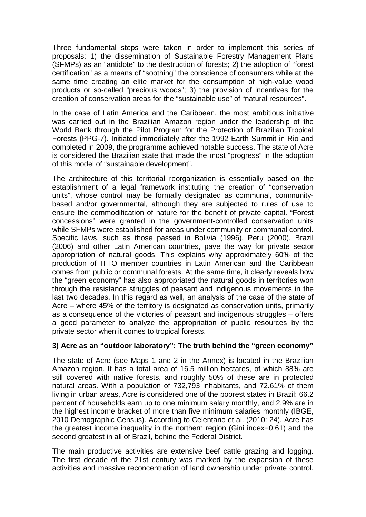Three fundamental steps were taken in order to implement this series of proposals: 1) the dissemination of Sustainable Forestry Management Plans (SFMPs) as an "antidote" to the destruction of forests; 2) the adoption of "forest certification" as a means of "soothing" the conscience of consumers while at the same time creating an elite market for the consumption of high-value wood products or so-called "precious woods"; 3) the provision of incentives for the creation of conservation areas for the "sustainable use" of "natural resources".

In the case of Latin America and the Caribbean, the most ambitious initiative was carried out in the Brazilian Amazon region under the leadership of the World Bank through the Pilot Program for the Protection of Brazilian Tropical Forests (PPG-7). Initiated immediately after the 1992 Earth Summit in Rio and completed in 2009, the programme achieved notable success. The state of Acre is considered the Brazilian state that made the most "progress" in the adoption of this model of "sustainable development".

The architecture of this territorial reorganization is essentially based on the establishment of a legal framework instituting the creation of "conservation units", whose control may be formally designated as communal, communitybased and/or governmental, although they are subjected to rules of use to ensure the commodification of nature for the benefit of private capital. "Forest concessions" were granted in the government-controlled conservation units while SFMPs were established for areas under community or communal control. Specific laws, such as those passed in Bolivia (1996), Peru (2000), Brazil (2006) and other Latin American countries, pave the way for private sector appropriation of natural goods. This explains why approximately 60% of the production of ITTO member countries in Latin American and the Caribbean comes from public or communal forests. At the same time, it clearly reveals how the "green economy" has also appropriated the natural goods in territories won through the resistance struggles of peasant and indigenous movements in the last two decades. In this regard as well, an analysis of the case of the state of Acre – where 45% of the territory is designated as conservation units, primarily as a consequence of the victories of peasant and indigenous struggles – offers a good parameter to analyze the appropriation of public resources by the private sector when it comes to tropical forests.

## **3) Acre as an "outdoor laboratory": The truth behind the "green economy"**

The state of Acre (see Maps 1 and 2 in the Annex) is located in the Brazilian Amazon region. It has a total area of 16.5 million hectares, of which 88% are still covered with native forests, and roughly 50% of these are in protected natural areas. With a population of 732,793 inhabitants, and 72.61% of them living in urban areas, Acre is considered one of the poorest states in Brazil: 66.2 percent of households earn up to one minimum salary monthly, and 2.9% are in the highest income bracket of more than five minimum salaries monthly (IBGE, 2010 Demographic Census). According to Celentano et al. (2010: 24), Acre has the greatest income inequality in the northern region (Gini index=0.61) and the second greatest in all of Brazil, behind the Federal District.

The main productive activities are extensive beef cattle grazing and logging. The first decade of the 21st century was marked by the expansion of these activities and massive reconcentration of land ownership under private control.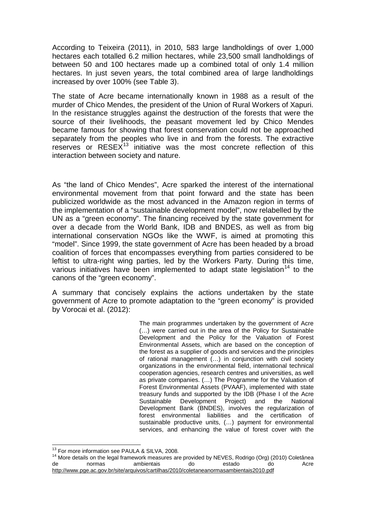According to Teixeira (2011), in 2010, 583 large landholdings of over 1,000 hectares each totalled 6.2 million hectares, while 23,500 small landholdings of between 50 and 100 hectares made up a combined total of only 1.4 million hectares. In just seven years, the total combined area of large landholdings increased by over 100% (see Table 3).

The state of Acre became internationally known in 1988 as a result of the murder of Chico Mendes, the president of the Union of Rural Workers of Xapuri. In the resistance struggles against the destruction of the forests that were the source of their livelihoods, the peasant movement led by Chico Mendes became famous for showing that forest conservation could not be approached separately from the peoples who live in and from the forests. The extractive reserves or  $RESEX<sup>13</sup>$  $RESEX<sup>13</sup>$  $RESEX<sup>13</sup>$  initiative was the most concrete reflection of this interaction between society and nature.

As "the land of Chico Mendes", Acre sparked the interest of the international environmental movement from that point forward and the state has been publicized worldwide as the most advanced in the Amazon region in terms of the implementation of a "sustainable development model", now relabelled by the UN as a "green economy". The financing received by the state government for over a decade from the World Bank, IDB and BNDES, as well as from big international conservation NGOs like the WWF, is aimed at promoting this "model". Since 1999, the state government of Acre has been headed by a broad coalition of forces that encompasses everything from parties considered to be leftist to ultra-right wing parties, led by the Workers Party. During this time, various initiatives have been implemented to adapt state legislation<sup>[14](#page-7-0)</sup> to the canons of the "green economy".

A summary that concisely explains the actions undertaken by the state government of Acre to promote adaptation to the "green economy" is provided by Vorocai et al. (2012):

> The main programmes undertaken by the government of Acre (…) were carried out in the area of the Policy for Sustainable Development and the Policy for the Valuation of Forest Environmental Assets, which are based on the conception of the forest as a supplier of goods and services and the principles of rational management (…) in conjunction with civil society organizations in the environmental field, international technical cooperation agencies, research centres and universities, as well as private companies. (…) The Programme for the Valuation of Forest Environmental Assets (PVAAF), implemented with state treasury funds and supported by the IDB (Phase I of the Acre Sustainable Development Project) and the National Development Bank (BNDES), involves the regularization of forest environmental liabilities and the certification of sustainable productive units, (…) payment for environmental services, and enhancing the value of forest cover with the

<span id="page-7-1"></span><span id="page-7-0"></span><sup>&</sup>lt;sup>13</sup> For more information see PAULA & SILVA, 2008.<br><sup>14</sup> More details on the legal framework measures are provided by NEVES, Rodrigo (Org) (2010) Coletânea<br>de stado do Acre de normas ambientais do estado do Acre <http://www.pge.ac.gov.br/site/arquivos/cartilhas/2010/coletaneanormasambientais2010.pdf>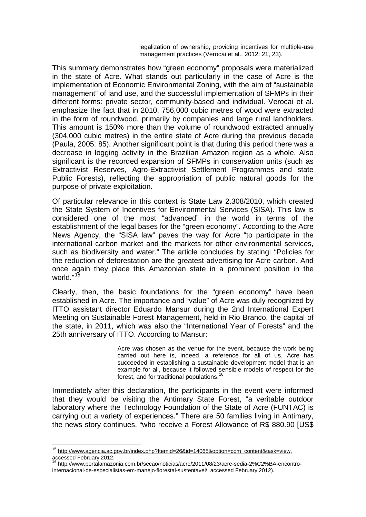legalization of ownership, providing incentives for multiple-use management practices (Verocai et al., 2012: 21, 23).

This summary demonstrates how "green economy" proposals were materialized in the state of Acre. What stands out particularly in the case of Acre is the implementation of Economic Environmental Zoning, with the aim of "sustainable management" of land use, and the successful implementation of SFMPs in their different forms: private sector, community-based and individual. Verocai et al. emphasize the fact that in 2010, 756,000 cubic metres of wood were extracted in the form of roundwood, primarily by companies and large rural landholders. This amount is 150% more than the volume of roundwood extracted annually (304,000 cubic metres) in the entire state of Acre during the previous decade (Paula, 2005: 85). Another significant point is that during this period there was a decrease in logging activity in the Brazilian Amazon region as a whole. Also significant is the recorded expansion of SFMPs in conservation units (such as Extractivist Reserves, Agro-Extractivist Settlement Programmes and state Public Forests), reflecting the appropriation of public natural goods for the purpose of private exploitation.

Of particular relevance in this context is State Law 2.308/2010, which created the State System of Incentives for Environmental Services (SISA). This law is considered one of the most "advanced" in the world in terms of the establishment of the legal bases for the "green economy". According to the Acre News Agency, the "SISA law" paves the way for Acre "to participate in the international carbon market and the markets for other environmental services, such as biodiversity and water." The article concludes by stating: "Policies for the reduction of deforestation are the greatest advertising for Acre carbon. And once again they place this Amazonian state in a prominent position in the world."<sup>[15](#page-7-1)</sup>

Clearly, then, the basic foundations for the "green economy" have been established in Acre. The importance and "value" of Acre was duly recognized by ITTO assistant director Eduardo Mansur during the 2nd International Expert Meeting on Sustainable Forest Management, held in Rio Branco, the capital of the state, in 2011, which was also the "International Year of Forests" and the 25th anniversary of ITTO. According to Mansur:

> Acre was chosen as the venue for the event, because the work being carried out here is, indeed, a reference for all of us. Acre has succeeded in establishing a sustainable development model that is an example for all, because it followed sensible models of respect for the forest, and for traditional populations.

Immediately after this declaration, the participants in the event were informed that they would be visiting the Antimary State Forest, "a veritable outdoor laboratory where the Technology Foundation of the State of Acre (FUNTAC) is carrying out a variety of experiences." There are 50 families living in Antimary, the news story continues, "who receive a Forest Allowance of R\$ 880.90 [US\$

<span id="page-8-1"></span><sup>&</sup>lt;sup>15</sup> [http://www.agencia.ac.gov.br/index.php?Itemid=26&id=14065&option=com\\_content&task=view,](http://www.agencia.ac.gov.br/index.php?Itemid=26&id=14065&option=com_content&task=view) accessed February 2012.

<span id="page-8-0"></span><sup>&</sup>lt;sup>16</sup> [http://www.portalamazonia.com.br/secao/noticias/acre/2011/08/23/acre-sedia-2%C2%BA-encontro](http://www.portalamazonia.com.br/secao/noticias/acre/2011/08/23/acre-sedia-2%C2%BA-encontro-internacional-de-especialistas-em-manejo-florestal-sustentavel/)[internacional-de-especialistas-em-manejo-florestal-sustentavel/,](http://www.portalamazonia.com.br/secao/noticias/acre/2011/08/23/acre-sedia-2%C2%BA-encontro-internacional-de-especialistas-em-manejo-florestal-sustentavel/) accessed February 2012).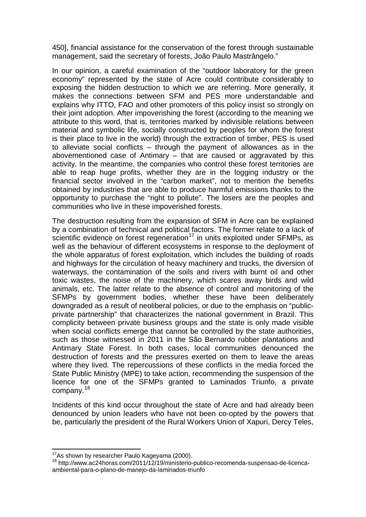450], financial assistance for the conservation of the forest through sustainable management, said the secretary of forests, João Paulo Mastrângelo."

In our opinion, a careful examination of the "outdoor laboratory for the green economy" represented by the state of Acre could contribute considerably to exposing the hidden destruction to which we are referring. More generally, it makes the connections between SFM and PES more understandable and explains why ITTO, FAO and other promoters of this policy insist so strongly on their joint adoption. After impoverishing the forest (according to the meaning we attribute to this word, that is, territories marked by indivisible relations between material and symbolic life, socially constructed by peoples for whom the forest is their place to live in the world) through the extraction of timber, PES is used to alleviate social conflicts – through the payment of allowances as in the abovementioned case of Antimary – that are caused or aggravated by this activity. In the meantime, the companies who control these forest territories are able to reap huge profits, whether they are in the logging industry or the financial sector involved in the "carbon market", not to mention the benefits obtained by industries that are able to produce harmful emissions thanks to the opportunity to purchase the "right to pollute". The losers are the peoples and communities who live in these impoverished forests.

The destruction resulting from the expansion of SFM in Acre can be explained by a combination of technical and political factors. The former relate to a lack of scientific evidence on forest regeneration<sup>[17](#page-8-1)</sup> in units exploited under SFMPs, as well as the behaviour of different ecosystems in response to the deployment of the whole apparatus of forest exploitation, which includes the building of roads and highways for the circulation of heavy machinery and trucks, the diversion of waterways, the contamination of the soils and rivers with burnt oil and other toxic wastes, the noise of the machinery, which scares away birds and wild animals, etc. The latter relate to the absence of control and monitoring of the SFMPs by government bodies, whether these have been deliberately downgraded as a result of neoliberal policies, or due to the emphasis on "publicprivate partnership" that characterizes the national government in Brazil. This complicity between private business groups and the state is only made visible when social conflicts emerge that cannot be controlled by the state authorities, such as those witnessed in 2011 in the São Bernardo rubber plantations and Antimary State Forest. In both cases, local communities denounced the destruction of forests and the pressures exerted on them to leave the areas where they lived. The repercussions of these conflicts in the media forced the State Public Ministry (MPE) to take action, recommending the suspension of the licence for one of the SFMPs granted to Laminados Triunfo, a private company.<sup>[18](#page-9-0)</sup>

<span id="page-9-1"></span>Incidents of this kind occur throughout the state of Acre and had already been denounced by union leaders who have not been co-opted by the powers that be, particularly the president of the Rural Workers Union of Xapuri, Dercy Teles,

<span id="page-9-0"></span> $^{17}$ As shown by researcher Paulo Kageyama (2000).<br><sup>18</sup> [http://www.ac24horas.com/2011/12/19/ministerio-publico-recomenda-suspensao-de-licenca](http://www.ac24horas.com/2011/12/19/ministerio-publico-recomenda-suspensao-de-licenca-ambiental-para-o-plano-de-manejo-da-laminados-triunfo)[ambiental-para-o-plano-de-manejo-da-laminados-triunfo](http://www.ac24horas.com/2011/12/19/ministerio-publico-recomenda-suspensao-de-licenca-ambiental-para-o-plano-de-manejo-da-laminados-triunfo)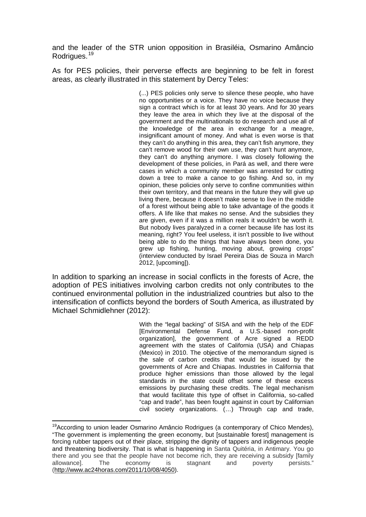and the leader of the STR union opposition in Brasiléia, Osmarino Amâncio Rodrigues. [19](#page-9-1)

As for PES policies, their perverse effects are beginning to be felt in forest areas, as clearly illustrated in this statement by Dercy Teles:

> (...) PES policies only serve to silence these people, who have no opportunities or a voice. They have no voice because they sign a contract which is for at least 30 years. And for 30 years they leave the area in which they live at the disposal of the government and the multinationals to do research and use all of the knowledge of the area in exchange for a meagre, insignificant amount of money. And what is even worse is that they can't do anything in this area, they can't fish anymore, they can't remove wood for their own use, they can't hunt anymore, they can't do anything anymore. I was closely following the development of these policies, in Pará as well, and there were cases in which a community member was arrested for cutting down a tree to make a canoe to go fishing. And so, in my opinion, these policies only serve to confine communities within their own territory, and that means in the future they will give up living there, because it doesn't make sense to live in the middle of a forest without being able to take advantage of the goods it offers. A life like that makes no sense. And the subsidies they are given, even if it was a million reals it wouldn't be worth it. But nobody lives paralyzed in a corner because life has lost its meaning, right? You feel useless, it isn't possible to live without being able to do the things that have always been done, you grew up fishing, hunting, moving about, growing crops" (interview conducted by Israel Pereira Dias de Souza in March 2012, [upcoming]).

In addition to sparking an increase in social conflicts in the forests of Acre, the adoption of PES initiatives involving carbon credits not only contributes to the continued environmental pollution in the industrialized countries but also to the intensification of conflicts beyond the borders of South America, as illustrated by Michael Schmidlehner (2012):

> With the "legal backing" of SISA and with the help of the EDF [Environmental Defense Fund, a U.S.-based non-profit organization], the government of Acre signed a REDD agreement with the states of California (USA) and Chiapas (Mexico) in 2010. The objective of the memorandum signed is the sale of carbon credits that would be issued by the governments of Acre and Chiapas. Industries in California that produce higher emissions than those allowed by the legal standards in the state could offset some of these excess emissions by purchasing these credits. The legal mechanism that would facilitate this type of offset in California, so-called "cap and trade", has been fought against in court by Californian civil society organizations. (…) Through cap and trade,

<sup>&</sup>lt;sup>19</sup> According to union leader Osmarino Amâncio Rodrigues (a contemporary of Chico Mendes), "The government is implementing the green economy, but [sustainable forest] management is forcing rubber tappers out of their place, stripping the dignity of tappers and indigenous people and threatening biodiversity. That is what is happening in Santa Quitéria, in Antimary. You go there and you see that the people have not become rich, they are receiving a subsidy [family allowance]. The economy is stagnant and poverty persists." allowance]. The economy is stagnant and poverty [\(http://www.ac24horas.com/2011/10/08/4050\)](http://www.ac24horas.com/2011/10/08/4050).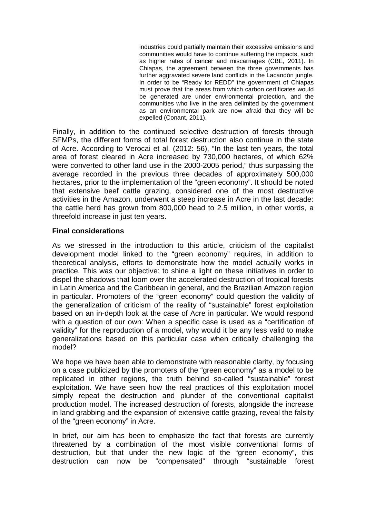industries could partially maintain their excessive emissions and communities would have to continue suffering the impacts, such as higher rates of cancer and miscarriages (CBE, 2011). In Chiapas, the agreement between the three governments has further aggravated severe land conflicts in the Lacandón jungle. In order to be "Ready for REDD" the government of Chiapas must prove that the areas from which carbon certificates would be generated are under environmental protection, and the communities who live in the area delimited by the government as an environmental park are now afraid that they will be expelled (Conant, 2011).

Finally, in addition to the continued selective destruction of forests through SFMPs, the different forms of total forest destruction also continue in the state of Acre. According to Verocai et al. (2012: 56), "In the last ten years, the total area of forest cleared in Acre increased by 730,000 hectares, of which 62% were converted to other land use in the 2000-2005 period," thus surpassing the average recorded in the previous three decades of approximately 500,000 hectares, prior to the implementation of the "green economy". It should be noted that extensive beef cattle grazing, considered one of the most destructive activities in the Amazon, underwent a steep increase in Acre in the last decade: the cattle herd has grown from 800,000 head to 2.5 million, in other words, a threefold increase in just ten years.

## **Final considerations**

As we stressed in the introduction to this article, criticism of the capitalist development model linked to the "green economy" requires, in addition to theoretical analysis, efforts to demonstrate how the model actually works in practice. This was our objective: to shine a light on these initiatives in order to dispel the shadows that loom over the accelerated destruction of tropical forests in Latin America and the Caribbean in general, and the Brazilian Amazon region in particular. Promoters of the "green economy" could question the validity of the generalization of criticism of the reality of "sustainable" forest exploitation based on an in-depth look at the case of Acre in particular. We would respond with a question of our own: When a specific case is used as a "certification of validity" for the reproduction of a model, why would it be any less valid to make generalizations based on this particular case when critically challenging the model?

We hope we have been able to demonstrate with reasonable clarity, by focusing on a case publicized by the promoters of the "green economy" as a model to be replicated in other regions, the truth behind so-called "sustainable" forest exploitation. We have seen how the real practices of this exploitation model simply repeat the destruction and plunder of the conventional capitalist production model. The increased destruction of forests, alongside the increase in land grabbing and the expansion of extensive cattle grazing, reveal the falsity of the "green economy" in Acre.

In brief, our aim has been to emphasize the fact that forests are currently threatened by a combination of the most visible conventional forms of destruction, but that under the new logic of the "green economy", this destruction can now be "compensated" through "sustainable forest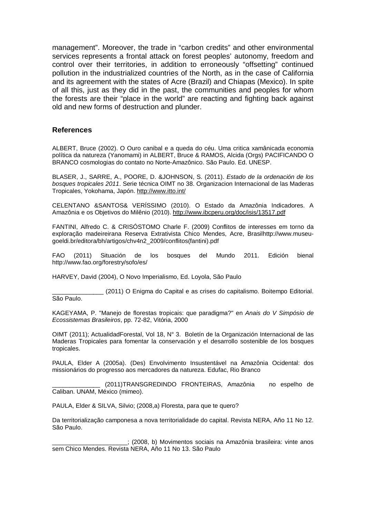management". Moreover, the trade in "carbon credits" and other environmental services represents a frontal attack on forest peoples' autonomy, freedom and control over their territories, in addition to erroneously "offsetting" continued pollution in the industrialized countries of the North, as in the case of California and its agreement with the states of Acre (Brazil) and Chiapas (Mexico). In spite of all this, just as they did in the past, the communities and peoples for whom the forests are their "place in the world" are reacting and fighting back against old and new forms of destruction and plunder.

#### **References**

ALBERT, Bruce (2002). O Ouro canibal e a queda do céu. Uma critica xamânicada economia política da natureza (Yanomami) in ALBERT, Bruce & RAMOS, Alcida (Orgs) PACIFICANDO O BRANCO cosmologias do contato no Norte-Amazônico. São Paulo. Ed. UNESP.

BLASER, J., SARRE, A., POORE, D. &JOHNSON, S. (2011). *Estado de la ordenación de los bosques tropicales 2011*. Serie técnica OIMT no 38. Organizacion Internacional de las Maderas Tropicales, Yokohama, Japón.<http://www.itto.int/>

CELENTANO &SANTOS& VERÍSSIMO (2010). O Estado da Amazônia Indicadores. A Amazônia e os Objetivos do Milênio (2010).<http://www.ibcperu.org/doc/isis/13517.pdf>

FANTINI, Alfredo C. & CRISÓSTOMO Charle F. (2009) Conflitos de interesses em torno da exploração madeireirana Reserva Extrativista Chico Mendes, Acre, Brasilhttp://www.museugoeldi.br/editora/bh/artigos/chv4n2\_2009/conflitos(fantini).pdf

FAO (2011) Situación de los bosques del Mundo 2011. Edición bienal http://www.fao.org/forestry/sofo/es/

HARVEY, David (2004), O Novo Imperialismo, Ed. Loyola, São Paulo

(2011) O Enigma do Capital e as crises do capitalismo. Boitempo Editorial. São Paulo.

KAGEYAMA, P. "Manejo de florestas tropicais: que paradigma?" en *Anais do V Simpósio de Ecossistemas Brasileiros*, pp. 72-82, Vitória, 2000

OIMT (2011); ActualidadForestal, Vol 18, N° 3. Boletín de la Organización Internacional de las Maderas Tropicales para fomentar la conservación y el desarrollo sostenible de los bosques tropicales.

PAULA, Elder A (2005a). (Des) Envolvimento Insustentável na Amazônia Ocidental: dos missionários do progresso aos mercadores da natureza. Edufac, Rio Branco

(2011)TRANSGREDINDO FRONTEIRAS, Amazônia no espelho de Caliban. UNAM, México (mimeo).

PAULA, Elder & SILVA, Silvio; (2008,a) Floresta, para que te quero?

Da territorialização camponesa a nova territorialidade do capital. Revista NERA, Año 11 No 12. São Paulo.

\_\_\_\_\_\_\_\_\_\_\_\_\_\_\_\_\_\_\_\_\_\_; (2008, b) Movimentos sociais na Amazônia brasileira: vinte anos sem Chico Mendes. Revista NERA, Año 11 No 13. São Paulo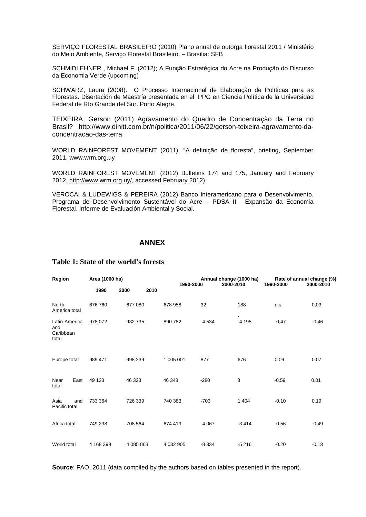SERVIÇO FLORESTAL BRASILEIRO (2010) Plano anual de outorga florestal 2011 / Ministério do Meio Ambiente, Serviço Florestal Brasileiro. – Brasília: SFB

SCHMIDLEHNER , Michael F. (2012); A Função Estratégica do Acre na Produção do Discurso da Economia Verde (upcoming)

SCHWARZ, Laura (2008). O Processo Internacional de Elaboração de Políticas para as Florestas. Disertación de Maestría presentada en el PPG en Ciencia Política de la Universidad Federal de Río Grande del Sur. Porto Alegre.

TEIXEIRA, Gerson (2011) Agravamento do Quadro de Concentração da Terra no Brasil? http://www.dihitt.com.br/n/politica/2011/06/22/gerson-teixeira-agravamento-daconcentracao-das-terra

WORLD RAINFOREST MOVEMENT (2011), "A definição de floresta", briefing, September 2011, www.wrm.org.uy

WORLD RAINFOREST MOVEMENT (2012) Bulletins 174 and 175, January and February 2012, [http://www.wrm.org.uy/,](http://www.wrm.org.uy/) accessed February 2012).

VEROCAI & LUDEWIGS & PEREIRA (2012) Banco Interamericano para o Desenvolvimento. Programa de Desenvolvimento Sustentável do Acre – PDSA II. Expansão da Economia Florestal. Informe de Evaluación Ambiental y Social.

#### **ANNEX**

| Region                                     | Area (1000 ha) |              | 1990-2000     | Annual change (1000 ha)<br>2000-2010 |         | Rate of annual change (%)<br>1990-2000<br>2000-2010 |         |
|--------------------------------------------|----------------|--------------|---------------|--------------------------------------|---------|-----------------------------------------------------|---------|
|                                            | 1990           | 2010<br>2000 |               |                                      |         |                                                     |         |
| North<br>America total                     | 676 760        | 677 080      | 678 958       | 32                                   | 188     | n.s.                                                | 0,03    |
| Latin America<br>and<br>Caribbean<br>total | 978 072        | 932735       | 890 782       | $-4534$                              | $-4195$ | $-0,47$                                             | $-0,46$ |
| Europe total                               | 989 471        | 998 239      | 1 005 001     | 877                                  | 676     | 0.09                                                | 0.07    |
| Near<br>East<br>total                      | 49 123         | 46 323       | 46 348        | $-280$                               | 3       | $-0.59$                                             | 0.01    |
| Asia<br>and<br>Pacific total               | 733 364        | 726 339      | 740 383       | $-703$                               | 1 4 0 4 | $-0.10$                                             | 0.19    |
| Africa total                               | 749 238        | 708 564      | 674 419       | $-4067$                              | $-3414$ | $-0.56$                                             | $-0.49$ |
| World total                                | 4 168 399      | 4 085 063    | 4 0 3 2 9 0 5 | $-8334$                              | $-5216$ | $-0.20$                                             | $-0.13$ |

### **Table 1: State of the world's forests**

**Source**: FAO, 2011 (data compiled by the authors based on tables presented in the report).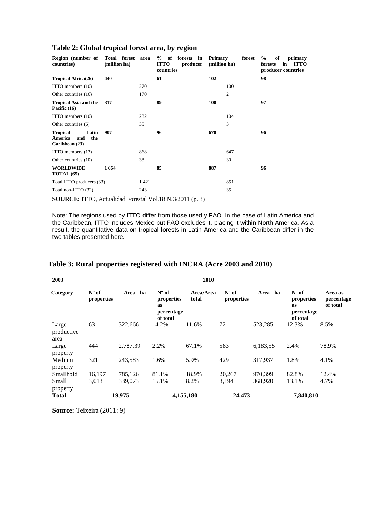| Region (number of<br>countries)                                     | Total forest area<br>(million ha) |      | % of forests in<br><b>ITTO</b><br>producer<br>countries | <b>Primary</b><br>forest<br>(million ha) | $\%$<br>of<br>primary<br><b>ITTO</b><br>forests<br>in<br>producer countries |
|---------------------------------------------------------------------|-----------------------------------|------|---------------------------------------------------------|------------------------------------------|-----------------------------------------------------------------------------|
| <b>Tropical Africa(26)</b>                                          | 440                               |      | 61                                                      | 102                                      | 98                                                                          |
| ITTO members (10)                                                   |                                   | 270  |                                                         | 100                                      |                                                                             |
| Other countries (16)                                                |                                   | 170  |                                                         | $\overline{c}$                           |                                                                             |
| <b>Tropical Asia and the</b><br>Pacific (16)                        | 317                               |      | 89                                                      | 108                                      | 97                                                                          |
| ITTO members (10)                                                   |                                   | 282  |                                                         | 104                                      |                                                                             |
| Other countries (6)                                                 |                                   | 35   |                                                         | 3                                        |                                                                             |
| <b>Tropical</b><br>Latin<br>America<br>the<br>and<br>Caribbean (23) | 907                               |      | 96                                                      | 678                                      | 96                                                                          |
| ITTO members (13)                                                   |                                   | 868  |                                                         | 647                                      |                                                                             |
| Other countries (10)                                                |                                   | 38   |                                                         | 30                                       |                                                                             |
| <b>WORLDWIDE</b><br><b>TOTAL</b> (65)                               | 1664                              |      | 85                                                      | 887                                      | 96                                                                          |
| Total ITTO producers (33)                                           |                                   | 1421 |                                                         | 851                                      |                                                                             |
| Total non-ITTO (32)                                                 |                                   | 243  |                                                         | 35                                       |                                                                             |
|                                                                     |                                   |      |                                                         |                                          |                                                                             |

### **Table 2: Global tropical forest area, by region**

**SOURCE:** ITTO, Actualidad Forestal Vol.18 N.3/2011 (p. 3)

Note: The regions used by ITTO differ from those used y FAO. In the case of Latin America and the Caribbean, ITTO includes Mexico but FAO excludes it, placing it within North America. As a result, the quantitative data on tropical forests in Latin America and the Caribbean differ in the two tables presented here.

# **Table 3: Rural properties registered with INCRA (Acre 2003 and 2010)**

| 2003                        |                              |           |                                                                     | 2010               |                              |           |                                                                     |                                   |
|-----------------------------|------------------------------|-----------|---------------------------------------------------------------------|--------------------|------------------------------|-----------|---------------------------------------------------------------------|-----------------------------------|
| Category                    | $N^{\circ}$ of<br>properties | Area - ha | $N^{\circ}$ of<br>properties<br><b>as</b><br>percentage<br>of total | Area/Área<br>total | $N^{\circ}$ of<br>properties | Area - ha | $N^{\circ}$ of<br>properties<br><b>as</b><br>percentage<br>of total | Area as<br>percentage<br>of total |
| Large<br>productive<br>area | 63                           | 322,666   | 14.2%                                                               | 11.6%              | 72                           | 523,285   | 12.3%                                                               | 8.5%                              |
| Large<br>property           | 444                          | 2,787,39  | 2.2%                                                                | 67.1%              | 583                          | 6,183,55  | 2.4%                                                                | 78.9%                             |
| Medium<br>property          | 321                          | 243,583   | 1.6%                                                                | 5.9%               | 429                          | 317,937   | 1.8%                                                                | 4.1%                              |
| Smallhold                   | 16,197                       | 785,126   | 81.1%                                                               | 18.9%              | 20,267                       | 970,399   | 82.8%                                                               | 12.4%                             |
| Small<br>property           | 3,013                        | 339,073   | 15.1%                                                               | 8.2%               | 3,194                        | 368,920   | 13.1%                                                               | 4.7%                              |
| <b>Total</b>                |                              | 19,975    |                                                                     | 4,155,180          | 24,473                       |           | 7,840,810                                                           |                                   |

**Source:** Teixeira (2011: 9)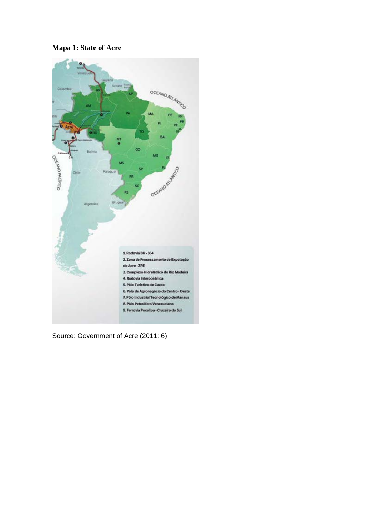# **Mapa 1: State of Acre**



Source: Government of Acre (2011: 6)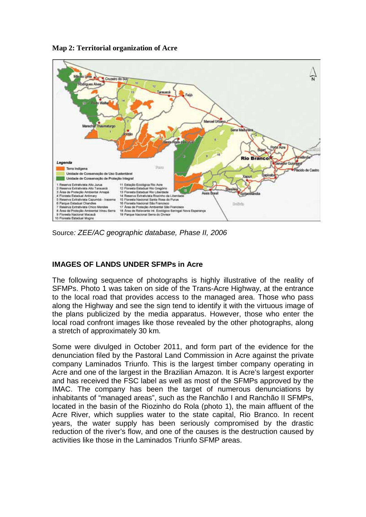

**Map 2: Territorial organization of Acre**

Source*: ZEE/AC geographic database, Phase II, 2006*

# **IMAGES OF LANDS UNDER SFMPs in Acre**

The following sequence of photographs is highly illustrative of the reality of SFMPs. Photo 1 was taken on side of the Trans-Acre Highway, at the entrance to the local road that provides access to the managed area. Those who pass along the Highway and see the sign tend to identify it with the virtuous image of the plans publicized by the media apparatus. However, those who enter the local road confront images like those revealed by the other photographs, along a stretch of approximately 30 km.

Some were divulged in October 2011, and form part of the evidence for the denunciation filed by the Pastoral Land Commission in Acre against the private company Laminados Triunfo. This is the largest timber company operating in Acre and one of the largest in the Brazilian Amazon. It is Acre's largest exporter and has received the FSC label as well as most of the SFMPs approved by the IMAC. The company has been the target of numerous denunciations by inhabitants of "managed areas", such as the Ranchão I and Ranchão II SFMPs, located in the basin of the Riozinho do Rola (photo 1), the main affluent of the Acre River, which supplies water to the state capital, Rio Branco. In recent years, the water supply has been seriously compromised by the drastic reduction of the river's flow, and one of the causes is the destruction caused by activities like those in the Laminados Triunfo SFMP areas.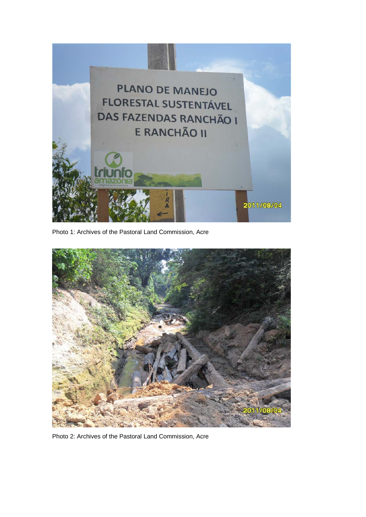

Photo 1: Archives of the Pastoral Land Commission, Acre



Photo 2: Archives of the Pastoral Land Commission, Acre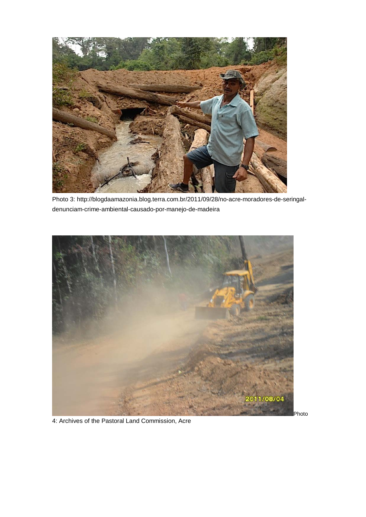

Photo 3: http://blogdaamazonia.blog.terra.com.br/2011/09/28/no-acre-moradores-de-seringaldenunciam-crime-ambiental-causado-por-manejo-de-madeira



4: Archives of the Pastoral Land Commission, Acre

Photo